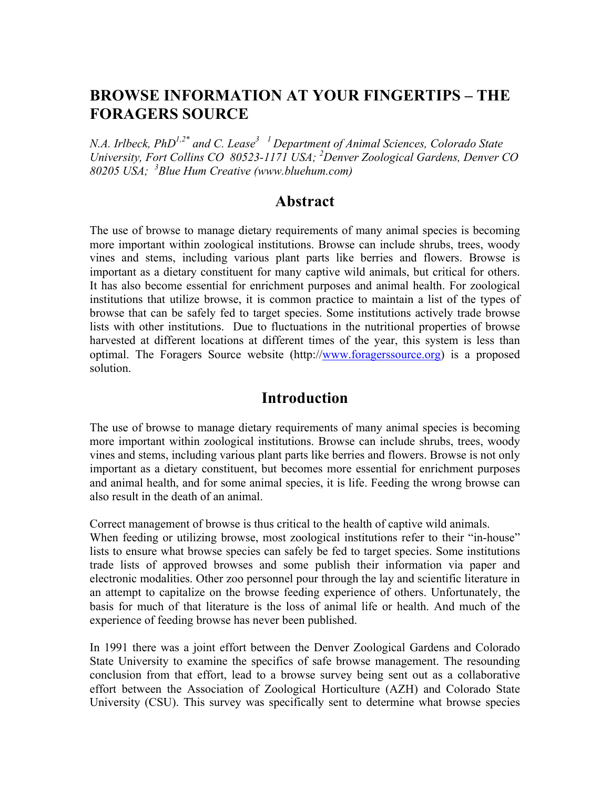# **BROWSE INFORMATION AT YOUR FINGERTIPS – THE FORAGERS SOURCE**

*N.A. Irlbeck, PhD1,2\* and C. Lease3 1 Department of Animal Sciences, Colorado State University, Fort Collins CO 80523-1171 USA; <sup>2</sup> Denver Zoological Gardens, Denver CO 80205 USA; <sup>3</sup> Blue Hum Creative (www.bluehum.com)*

### **Abstract**

The use of browse to manage dietary requirements of many animal species is becoming more important within zoological institutions. Browse can include shrubs, trees, woody vines and stems, including various plant parts like berries and flowers. Browse is important as a dietary constituent for many captive wild animals, but critical for others. It has also become essential for enrichment purposes and animal health. For zoological institutions that utilize browse, it is common practice to maintain a list of the types of browse that can be safely fed to target species. Some institutions actively trade browse lists with other institutions. Due to fluctuations in the nutritional properties of browse harvested at different locations at different times of the year, this system is less than optimal. The Foragers Source website (http://www.foragerssource.org) is a proposed solution.

## **Introduction**

The use of browse to manage dietary requirements of many animal species is becoming more important within zoological institutions. Browse can include shrubs, trees, woody vines and stems, including various plant parts like berries and flowers. Browse is not only important as a dietary constituent, but becomes more essential for enrichment purposes and animal health, and for some animal species, it is life. Feeding the wrong browse can also result in the death of an animal.

Correct management of browse is thus critical to the health of captive wild animals.

When feeding or utilizing browse, most zoological institutions refer to their "in-house" lists to ensure what browse species can safely be fed to target species. Some institutions trade lists of approved browses and some publish their information via paper and electronic modalities. Other zoo personnel pour through the lay and scientific literature in an attempt to capitalize on the browse feeding experience of others. Unfortunately, the basis for much of that literature is the loss of animal life or health. And much of the experience of feeding browse has never been published.

In 1991 there was a joint effort between the Denver Zoological Gardens and Colorado State University to examine the specifics of safe browse management. The resounding conclusion from that effort, lead to a browse survey being sent out as a collaborative effort between the Association of Zoological Horticulture (AZH) and Colorado State University (CSU). This survey was specifically sent to determine what browse species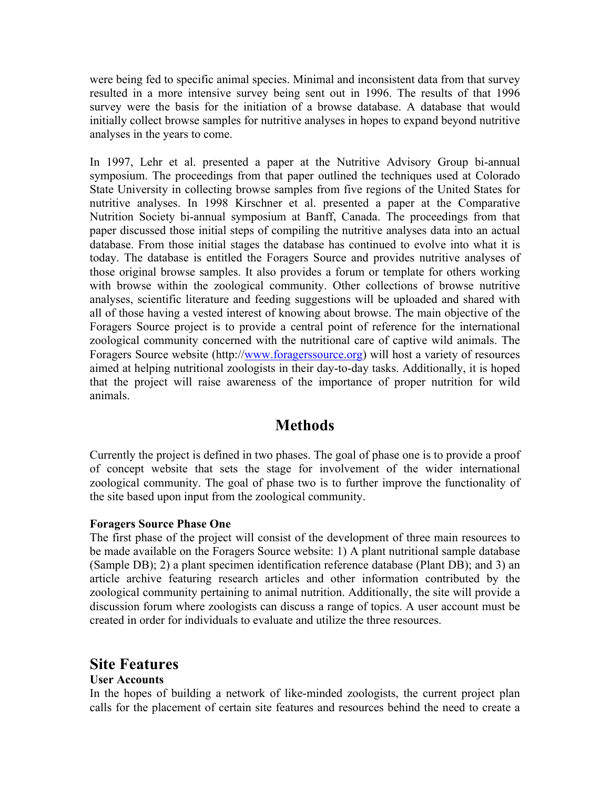were being fed to specific animal species. Minimal and inconsistent data from that survey resulted in a more intensive survey being sent out in 1996. The results of that 1996 survey were the basis for the initiation of a browse database. A database that would initially collect browse samples for nutritive analyses in hopes to expand beyond nutritive analyses in the years to come.

In 1997, Lehr et al. presented a paper at the Nutritive Advisory Group bi-annual symposium. The proceedings from that paper outlined the techniques used at Colorado State University in collecting browse samples from five regions of the United States for nutritive analyses. In 1998 Kirschner et al. presented a paper at the Comparative Nutrition Society bi-annual symposium at Banff, Canada. The proceedings from that paper discussed those initial steps of compiling the nutritive analyses data into an actual database. From those initial stages the database has continued to evolve into what it is today. The database is entitled the Foragers Source and provides nutritive analyses of those original browse samples. It also provides a forum or template for others working with browse within the zoological community. Other collections of browse nutritive analyses, scientific literature and feeding suggestions will be uploaded and shared with all of those having a vested interest of knowing about browse. The main objective of the Foragers Source project is to provide a central point of reference for the international zoological community concerned with the nutritional care of captive wild animals. The Foragers Source website (http://www.foragerssource.org) will host a variety of resources aimed at helping nutritional zoologists in their day-to-day tasks. Additionally, it is hoped that the project will raise awareness of the importance of proper nutrition for wild animals.

## **Methods**

Currently the project is defined in two phases. The goal of phase one is to provide a proof of concept website that sets the stage for involvement of the wider international zoological community. The goal of phase two is to further improve the functionality of the site based upon input from the zoological community.

### **Foragers Source Phase One**

The first phase of the project will consist of the development of three main resources to be made available on the Foragers Source website: 1) A plant nutritional sample database (Sample DB); 2) a plant specimen identification reference database (Plant DB); and 3) an article archive featuring research articles and other information contributed by the zoological community pertaining to animal nutrition. Additionally, the site will provide a discussion forum where zoologists can discuss a range of topics. A user account must be created in order for individuals to evaluate and utilize the three resources.

### **Site Features**

### **User Accounts**

In the hopes of building a network of like-minded zoologists, the current project plan calls for the placement of certain site features and resources behind the need to create a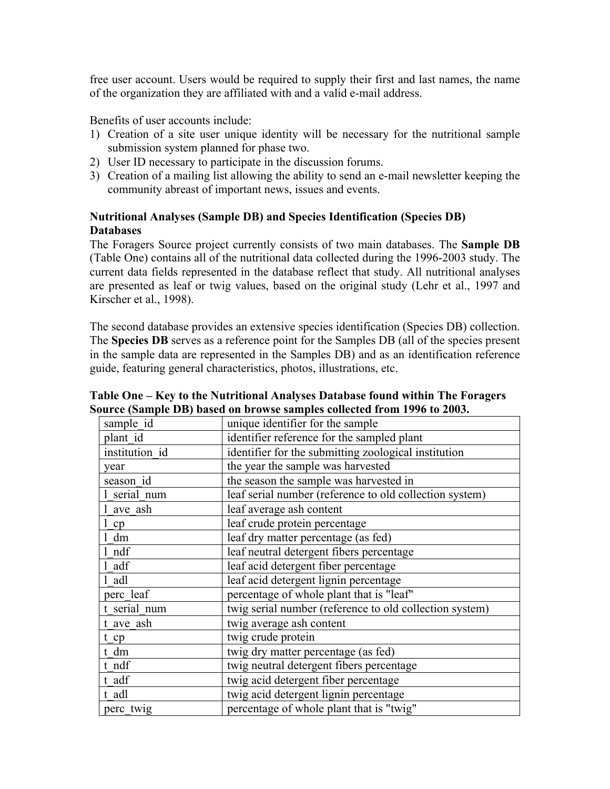free user account. Users would be required to supply their first and last names, the name of the organization they are affiliated with and a valid e-mail address.

Benefits of user accounts include:

- 1) Creation of a site user unique identity will be necessary for the nutritional sample submission system planned for phase two.
- 2) User ID necessary to participate in the discussion forums.
- 3) Creation of a mailing list allowing the ability to send an e-mail newsletter keeping the community abreast of important news, issues and events.

### **Nutritional Analyses (Sample DB) and Species Identification (Species DB) Databases**

The Foragers Source project currently consists of two main databases. The **Sample DB** (Table One) contains all of the nutritional data collected during the 1996-2003 study. The current data fields represented in the database reflect that study. All nutritional analyses are presented as leaf or twig values, based on the original study (Lehr et al., 1997 and Kirscher et al., 1998).

The second database provides an extensive species identification (Species DB) collection. The **Species DB** serves as a reference point for the Samples DB (all of the species present in the sample data are represented in the Samples DB) and as an identification reference guide, featuring general characteristics, photos, illustrations, etc.

| sample id      | unique identifier for the sample                        |
|----------------|---------------------------------------------------------|
| plant id       | identifier reference for the sampled plant              |
| institution id | identifier for the submitting zoological institution    |
| year           | the year the sample was harvested                       |
| season id      | the season the sample was harvested in                  |
| serial num     | leaf serial number (reference to old collection system) |
| ave ash        | leaf average ash content                                |
| cp             | leaf crude protein percentage                           |
| dm             | leaf dry matter percentage (as fed)                     |
| ndf            | leaf neutral detergent fibers percentage                |
| adf            | leaf acid detergent fiber percentage                    |
| adl            | leaf acid detergent lignin percentage                   |
| perc leaf      | percentage of whole plant that is "leaf"                |
| t serial num   | twig serial number (reference to old collection system) |
| t ave ash      | twig average ash content                                |
| $t$ cp         | twig crude protein                                      |
| t dm           | twig dry matter percentage (as fed)                     |
| t ndf          | twig neutral detergent fibers percentage                |
| t adf          | twig acid detergent fiber percentage                    |
| t adl          | twig acid detergent lignin percentage                   |
| perc twig      | percentage of whole plant that is "twig"                |

**Table One – Key to the Nutritional Analyses Database found within The Foragers Source (Sample DB) based on browse samples collected from 1996 to 2003.**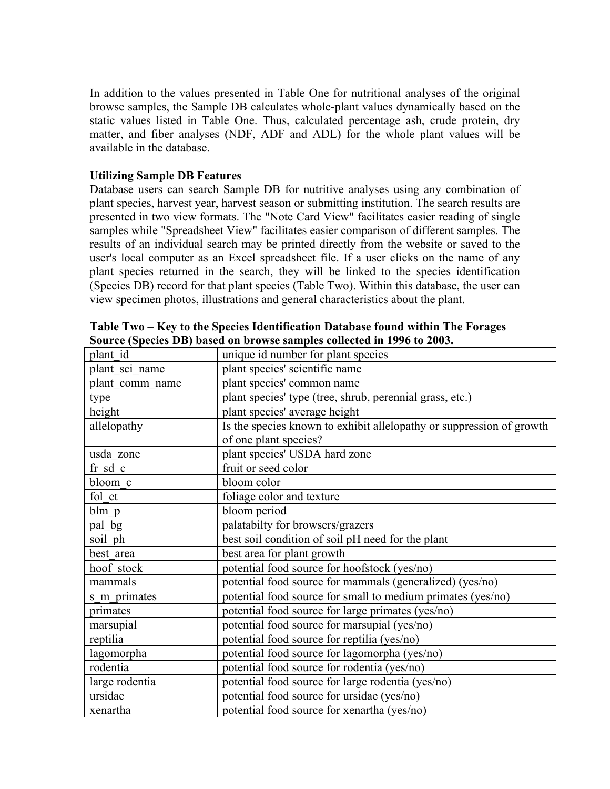In addition to the values presented in Table One for nutritional analyses of the original browse samples, the Sample DB calculates whole-plant values dynamically based on the static values listed in Table One. Thus, calculated percentage ash, crude protein, dry matter, and fiber analyses (NDF, ADF and ADL) for the whole plant values will be available in the database.

#### **Utilizing Sample DB Features**

Database users can search Sample DB for nutritive analyses using any combination of plant species, harvest year, harvest season or submitting institution. The search results are presented in two view formats. The "Note Card View" facilitates easier reading of single samples while "Spreadsheet View" facilitates easier comparison of different samples. The results of an individual search may be printed directly from the website or saved to the user's local computer as an Excel spreadsheet file. If a user clicks on the name of any plant species returned in the search, they will be linked to the species identification (Species DB) record for that plant species (Table Two). Within this database, the user can view specimen photos, illustrations and general characteristics about the plant.

| plant id        | unique id number for plant species                                   |
|-----------------|----------------------------------------------------------------------|
| plant sci name  | plant species' scientific name                                       |
| plant comm_name | plant species' common name                                           |
| type            | plant species' type (tree, shrub, perennial grass, etc.)             |
| height          | plant species' average height                                        |
| allelopathy     | Is the species known to exhibit allelopathy or suppression of growth |
|                 | of one plant species?                                                |
| usda zone       | plant species' USDA hard zone                                        |
| fr sd c         | fruit or seed color                                                  |
| bloom c         | bloom color                                                          |
| fol ct          | foliage color and texture                                            |
| blm p           | bloom period                                                         |
| pal bg          | palatabilty for browsers/grazers                                     |
| soil ph         | best soil condition of soil pH need for the plant                    |
| best area       | best area for plant growth                                           |
| hoof stock      | potential food source for hoofstock (yes/no)                         |
| mammals         | potential food source for mammals (generalized) (yes/no)             |
| s m primates    | potential food source for small to medium primates (yes/no)          |
| primates        | potential food source for large primates (yes/no)                    |
| marsupial       | potential food source for marsupial (yes/no)                         |
| reptilia        | potential food source for reptilia (yes/no)                          |
| lagomorpha      | potential food source for lagomorpha (yes/no)                        |
| rodentia        | potential food source for rodentia (yes/no)                          |
| large rodentia  | potential food source for large rodentia (yes/no)                    |
| ursidae         | potential food source for ursidae (yes/no)                           |
| xenartha        | potential food source for xenartha (yes/no)                          |

**Table Two – Key to the Species Identification Database found within The Forages Source (Species DB) based on browse samples collected in 1996 to 2003.**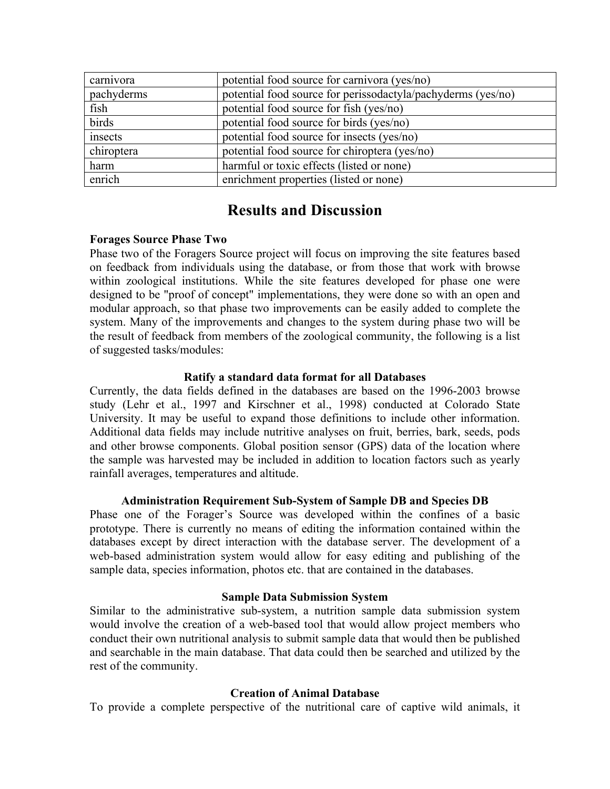| carnivora  | potential food source for carnivora (yes/no)                 |
|------------|--------------------------------------------------------------|
| pachyderms | potential food source for perissodactyla/pachyderms (yes/no) |
| fish       | potential food source for fish (yes/no)                      |
| birds      | potential food source for birds (yes/no)                     |
| insects    | potential food source for insects (yes/no)                   |
| chiroptera | potential food source for chiroptera (yes/no)                |
| harm       | harmful or toxic effects (listed or none)                    |
| enrich     | enrichment properties (listed or none)                       |

# **Results and Discussion**

### **Forages Source Phase Two**

Phase two of the Foragers Source project will focus on improving the site features based on feedback from individuals using the database, or from those that work with browse within zoological institutions. While the site features developed for phase one were designed to be "proof of concept" implementations, they were done so with an open and modular approach, so that phase two improvements can be easily added to complete the system. Many of the improvements and changes to the system during phase two will be the result of feedback from members of the zoological community, the following is a list of suggested tasks/modules:

### **Ratify a standard data format for all Databases**

Currently, the data fields defined in the databases are based on the 1996-2003 browse study (Lehr et al., 1997 and Kirschner et al., 1998) conducted at Colorado State University. It may be useful to expand those definitions to include other information. Additional data fields may include nutritive analyses on fruit, berries, bark, seeds, pods and other browse components. Global position sensor (GPS) data of the location where the sample was harvested may be included in addition to location factors such as yearly rainfall averages, temperatures and altitude.

### **Administration Requirement Sub-System of Sample DB and Species DB**

Phase one of the Forager's Source was developed within the confines of a basic prototype. There is currently no means of editing the information contained within the databases except by direct interaction with the database server. The development of a web-based administration system would allow for easy editing and publishing of the sample data, species information, photos etc. that are contained in the databases.

### **Sample Data Submission System**

Similar to the administrative sub-system, a nutrition sample data submission system would involve the creation of a web-based tool that would allow project members who conduct their own nutritional analysis to submit sample data that would then be published and searchable in the main database. That data could then be searched and utilized by the rest of the community.

### **Creation of Animal Database**

To provide a complete perspective of the nutritional care of captive wild animals, it